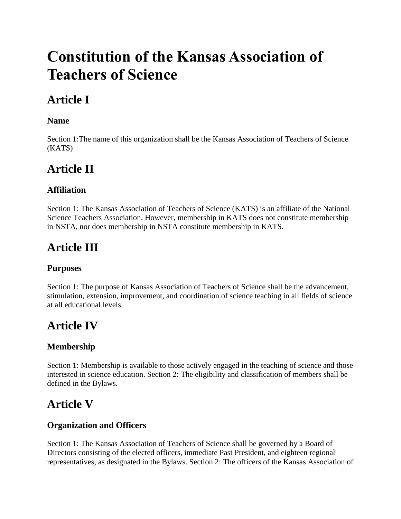# **Constitution of the Kansas Association of Teachers of Science**

# **Article I**

#### **Name**

Section 1:The name of this organization shall be the Kansas Association of Teachers of Science (KATS)

### **Article II**

### **Affiliation**

Section 1: The Kansas Association of Teachers of Science (KATS) is an affiliate of the National Science Teachers Association. However, membership in KATS does not constitute membership in NSTA, nor does membership in NSTA constitute membership in KATS.

## **Article III**

#### **Purposes**

Section 1: The purpose of Kansas Association of Teachers of Science shall be the advancement, stimulation, extension, improvement, and coordination of science teaching in all fields of science at all educational levels.

### **Article IV**

#### **Membership**

Section 1: Membership is available to those actively engaged in the teaching of science and those interested in science education. Section 2: The eligibility and classification of members shall be defined in the Bylaws.

### **Article V**

#### **Organization and Officers**

Section 1: The Kansas Association of Teachers of Science shall be governed by a Board of Directors consisting of the elected officers, immediate Past President, and eighteen regional representatives, as designated in the Bylaws. Section 2: The officers of the Kansas Association of